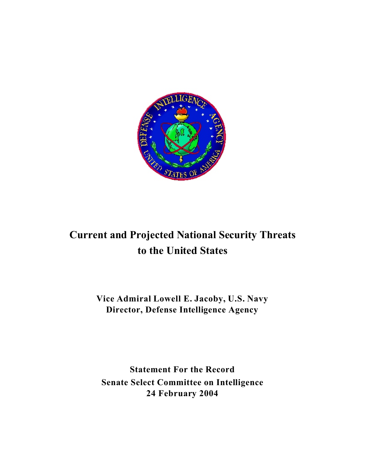

# **Current and Projected National Security Threats to the United States**

**Vice Admiral Lowell E. Jacoby, U.S. Navy Director, Defense Intelligence Agency**

**Statement For the Record Senate Select Committee on Intelligence 24 February 2004**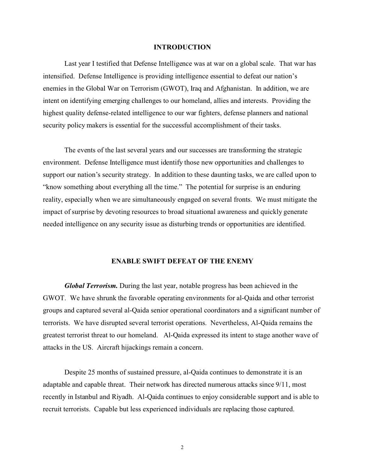### **INTRODUCTION**

Last year I testified that Defense Intelligence was at war on a global scale. That war has intensified. Defense Intelligence is providing intelligence essential to defeat our nation's enemies in the Global War on Terrorism (GWOT), Iraq and Afghanistan. In addition, we are intent on identifying emerging challenges to our homeland, allies and interests. Providing the highest quality defense-related intelligence to our war fighters, defense planners and national security policy makers is essential for the successful accomplishment of their tasks.

The events of the last several years and our successes are transforming the strategic environment. Defense Intelligence must identify those new opportunities and challenges to support our nation's security strategy. In addition to these daunting tasks, we are called upon to "know something about everything all the time." The potential for surprise is an enduring reality, especially when we are simultaneously engaged on several fronts. We must mitigate the impact of surprise by devoting resources to broad situational awareness and quickly generate needed intelligence on any security issue as disturbing trends or opportunities are identified.

### **ENABLE SWIFT DEFEAT OF THE ENEMY**

*Global Terrorism.* During the last year, notable progress has been achieved in the GWOT. We have shrunk the favorable operating environments for al-Qaida and other terrorist groups and captured several al-Qaida senior operational coordinators and a significant number of terrorists. We have disrupted several terrorist operations. Nevertheless, Al-Qaida remains the greatest terrorist threat to our homeland. Al-Qaida expressed its intent to stage another wave of attacks in the US. Aircraft hijackings remain a concern.

Despite 25 months of sustained pressure, al-Qaida continues to demonstrate it is an adaptable and capable threat. Their network has directed numerous attacks since 9/11, most recently in Istanbul and Riyadh. Al-Qaida continues to enjoy considerable support and is able to recruit terrorists. Capable but less experienced individuals are replacing those captured.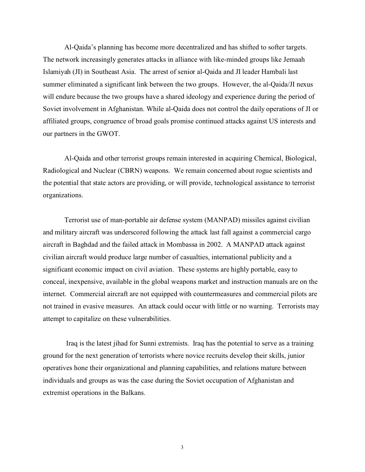Al-Qaida's planning has become more decentralized and has shifted to softer targets. The network increasingly generates attacks in alliance with like-minded groups like Jemaah Islamiyah (JI) in Southeast Asia. The arrest of senior al-Qaida and JI leader Hambali last summer eliminated a significant link between the two groups. However, the al-Qaida/JI nexus will endure because the two groups have a shared ideology and experience during the period of Soviet involvement in Afghanistan. While al-Qaida does not control the daily operations of JI or affiliated groups, congruence of broad goals promise continued attacks against US interests and our partners in the GWOT.

Al-Qaida and other terrorist groups remain interested in acquiring Chemical, Biological, Radiological and Nuclear (CBRN) weapons. We remain concerned about rogue scientists and the potential that state actors are providing, or will provide, technological assistance to terrorist organizations.

Terrorist use of man-portable air defense system (MANPAD) missiles against civilian and military aircraft was underscored following the attack last fall against a commercial cargo aircraft in Baghdad and the failed attack in Mombassa in 2002. A MANPAD attack against civilian aircraft would produce large number of casualties, international publicity and a significant economic impact on civil aviation. These systems are highly portable, easy to conceal, inexpensive, available in the global weapons market and instruction manuals are on the internet. Commercial aircraft are not equipped with countermeasures and commercial pilots are not trained in evasive measures. An attack could occur with little or no warning. Terrorists may attempt to capitalize on these vulnerabilities.

 Iraq is the latest jihad for Sunni extremists. Iraq has the potential to serve as a training ground for the next generation of terrorists where novice recruits develop their skills, junior operatives hone their organizational and planning capabilities, and relations mature between individuals and groups as was the case during the Soviet occupation of Afghanistan and extremist operations in the Balkans.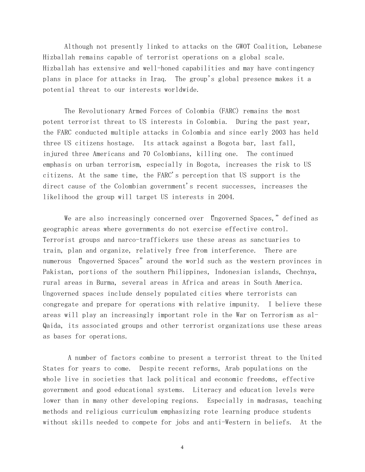Although not presently linked to attacks on the GWOT Coalition, Lebanese Hizballah remains capable of terrorist operations on a global scale. Hizballah has extensive and well-honed capabilities and may have contingency plans in place for attacks in Iraq. The group's global presence makes it a potential threat to our interests worldwide.

The Revolutionary Armed Forces of Colombia (FARC) remains the most potent terrorist threat to US interests in Colombia. During the past year, the FARC conducted multiple attacks in Colombia and since early 2003 has held three US citizens hostage. Its attack against a Bogota bar, last fall, injured three Americans and 70 Colombians, killing one. The continued emphasis on urban terrorism, especially in Bogota, increases the risk to US citizens. At the same time, the FARC's perception that US support is the direct cause of the Colombian government's recent successes, increases the likelihood the group will target US interests in 2004.

We are also increasingly concerned over "Ungoverned Spaces," defined as geographic areas where governments do not exercise effective control. Terrorist groups and narco-traffickers use these areas as sanctuaries to train, plan and organize, relatively free from interference. There are numerous Ungoverned Spaces" around the world such as the western provinces in Pakistan, portions of the southern Philippines, Indonesian islands, Chechnya, rural areas in Burma, several areas in Africa and areas in South America. Ungoverned spaces include densely populated cities where terrorists can congregate and prepare for operations with relative impunity. I believe these areas will play an increasingly important role in the War on Terrorism as al-Qaida, its associated groups and other terrorist organizations use these areas as bases for operations.

 A number of factors combine to present a terrorist threat to the United States for years to come. Despite recent reforms, Arab populations on the whole live in societies that lack political and economic freedoms, effective government and good educational systems. Literacy and education levels were lower than in many other developing regions. Especially in madrasas, teaching methods and religious curriculum emphasizing rote learning produce students without skills needed to compete for jobs and anti-Western in beliefs. At the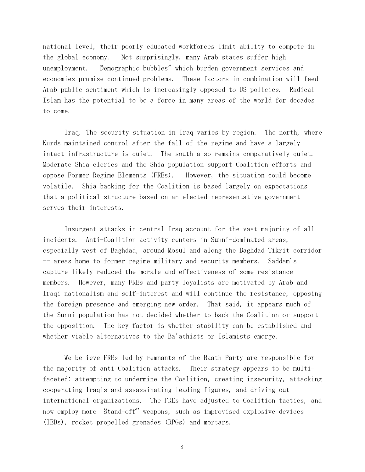national level, their poorly educated workforces limit ability to compete in the global economy. Not surprisingly, many Arab states suffer high unemployment. Demographic bubbles" which burden government services and economies promise continued problems. These factors in combination will feed Arab public sentiment which is increasingly opposed to US policies. Radical Islam has the potential to be a force in many areas of the world for decades to come.

*Iraq.* The security situation in Iraq varies by region. The north, where Kurds maintained control after the fall of the regime and have a largely intact infrastructure is quiet. The south also remains comparatively quiet. Moderate Shia clerics and the Shia population support Coalition efforts and oppose Former Regime Elements (FREs). However, the situation could become volatile. Shia backing for the Coalition is based largely on expectations that a political structure based on an elected representative government serves their interests.

 Insurgent attacks in central Iraq account for the vast majority of all incidents. Anti-Coalition activity centers in Sunni-dominated areas, especially west of Baghdad, around Mosul and along the Baghdad-Tikrit corridor -- areas home to former regime military and security members. Saddam's capture likely reduced the morale and effectiveness of some resistance members. However, many FREs and party loyalists are motivated by Arab and Iraqi nationalism and self-interest and will continue the resistance, opposing the foreign presence and emerging new order. That said, it appears much of the Sunni population has not decided whether to back the Coalition or support the opposition. The key factor is whether stability can be established and whether viable alternatives to the Ba'athists or Islamists emerge.

We believe FREs led by remnants of the Baath Party are responsible for the majority of anti-Coalition attacks. Their strategy appears to be multifaceted: attempting to undermine the Coalition, creating insecurity, attacking cooperating Iraqis and assassinating leading figures, and driving out international organizations. The FREs have adjusted to Coalition tactics, and now employ more "stand-off" weapons, such as improvised explosive devices (IEDs), rocket-propelled grenades (RPGs) and mortars.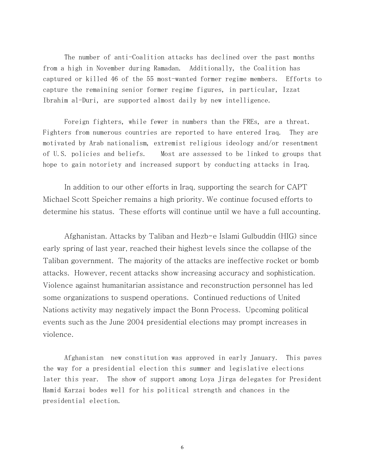The number of anti-Coalition attacks has declined over the past months from a high in November during Ramadan. Additionally, the Coalition has captured or killed 46 of the 55 most-wanted former regime members. Efforts to capture the remaining senior former regime figures, in particular, Izzat Ibrahim al-Duri, are supported almost daily by new intelligence.

Foreign fighters, while fewer in numbers than the FREs, are a threat. Fighters from numerous countries are reported to have entered Iraq. They are motivated by Arab nationalism, extremist religious ideology and/or resentment of U.S. policies and beliefs. Most are assessed to be linked to groups that hope to gain notoriety and increased support by conducting attacks in Iraq.

In addition to our other efforts in Iraq, supporting the search for CAPT Michael Scott Speicher remains a high priority. We continue focused efforts to determine his status. These efforts will continue until we have a full accounting.

*Afghanistan.* Attacks by Taliban and Hezb-e Islami Gulbuddin (HIG) since early spring of last year, reached their highest levels since the collapse of the Taliban government. The majority of the attacks are ineffective rocket or bomb attacks. However, recent attacks show increasing accuracy and sophistication. Violence against humanitarian assistance and reconstruction personnel has led some organizations to suspend operations. Continued reductions of United Nations activity may negatively impact the Bonn Process. Upcoming political events such as the June 2004 presidential elections may prompt increases in violence.

Afghanistan new constitution was approved in early January. This paves the way for a presidential election this summer and legislative elections later this year. The show of support among Loya Jirga delegates for President Hamid Karzai bodes well for his political strength and chances in the presidential election.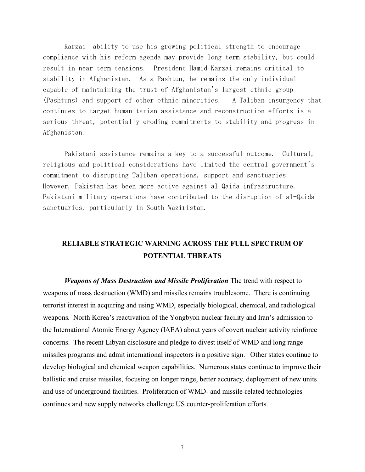Karzai ability to use his growing political strength to encourage compliance with his reform agenda may provide long term stability, but could result in near term tensions. President Hamid Karzai remains critical to stability in Afghanistan. As a Pashtun, he remains the only individual capable of maintaining the trust of Afghanistan's largest ethnic group (Pashtuns) and support of other ethnic minorities. A Taliban insurgency that continues to target humanitarian assistance and reconstruction efforts is a serious threat, potentially eroding commitments to stability and progress in Afghanistan.

Pakistani assistance remains a key to a successful outcome. Cultural, religious and political considerations have limited the central government's commitment to disrupting Taliban operations, support and sanctuaries. However, Pakistan has been more active against al-Qaida infrastructure. Pakistani military operations have contributed to the disruption of al-Qaida sanctuaries, particularly in South Waziristan.

# **RELIABLE STRATEGIC WARNING ACROSS THE FULL SPECTRUM OF POTENTIAL THREATS**

*Weapons of Mass Destruction and Missile Proliferation* The trend with respect to weapons of mass destruction (WMD) and missiles remains troublesome. There is continuing terrorist interest in acquiring and using WMD, especially biological, chemical, and radiological weapons. North Korea's reactivation of the Yongbyon nuclear facility and Iran's admission to the International Atomic Energy Agency (IAEA) about years of covert nuclear activity reinforce concerns. The recent Libyan disclosure and pledge to divest itself of WMD and long range missiles programs and admit international inspectors is a positive sign. Other states continue to develop biological and chemical weapon capabilities. Numerous states continue to improve their ballistic and cruise missiles, focusing on longer range, better accuracy, deployment of new units and use of underground facilities. Proliferation of WMD- and missile-related technologies continues and new supply networks challenge US counter-proliferation efforts.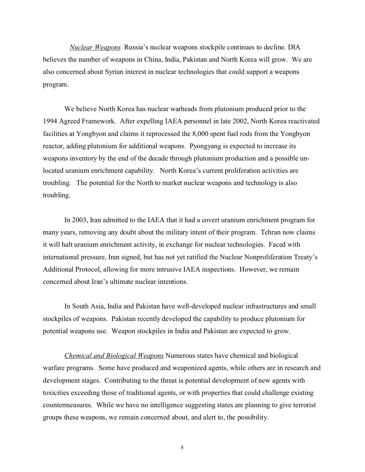*Nuclear Weapons* Russia's nuclear weapons stockpile continues to decline. DIA believes the number of weapons in China, India, Pakistan and North Korea will grow. We are also concerned about Syrian interest in nuclear technologies that could support a weapons program.

We believe North Korea has nuclear warheads from plutonium produced prior to the 1994 Agreed Framework. After expelling IAEA personnel in late 2002, North Korea reactivated facilities at Yongbyon and claims it reprocessed the 8,000 spent fuel rods from the Yongbyon reactor, adding plutonium for additional weapons. Pyongyang is expected to increase its weapons inventory by the end of the decade through plutonium production and a possible unlocated uranium enrichment capability. North Korea's current proliferation activities are troubling. The potential for the North to market nuclear weapons and technology is also troubling.

In 2003, Iran admitted to the IAEA that it had a covert uranium enrichment program for many years, removing any doubt about the military intent of their program. Tehran now claims it will halt uranium enrichment activity, in exchange for nuclear technologies. Faced with international pressure, Iran signed, but has not yet ratified the Nuclear Nonproliferation Treaty's Additional Protocol, allowing for more intrusive IAEA inspections. However, we remain concerned about Iran's ultimate nuclear intentions.

In South Asia, India and Pakistan have well-developed nuclear infrastructures and small stockpiles of weapons. Pakistan recently developed the capability to produce plutonium for potential weapons use. Weapon stockpiles in India and Pakistan are expected to grow.

*Chemical and Biological Weapons* Numerous states have chemical and biological warfare programs. Some have produced and weaponized agents, while others are in research and development stages. Contributing to the threat is potential development of new agents with toxicities exceeding those of traditional agents, or with properties that could challenge existing countermeasures. While we have no intelligence suggesting states are planning to give terrorist groups these weapons, we remain concerned about, and alert to, the possibility.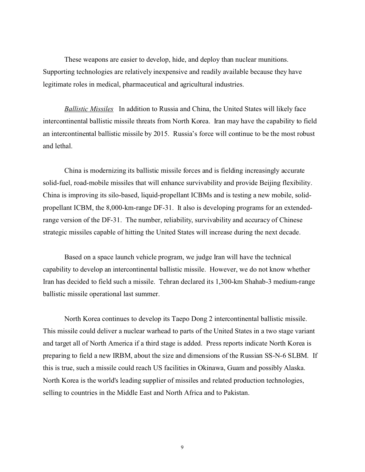These weapons are easier to develop, hide, and deploy than nuclear munitions. Supporting technologies are relatively inexpensive and readily available because they have legitimate roles in medical, pharmaceutical and agricultural industries.

*Ballistic Missiles* In addition to Russia and China, the United States will likely face intercontinental ballistic missile threats from North Korea. Iran may have the capability to field an intercontinental ballistic missile by 2015. Russia's force will continue to be the most robust and lethal.

China is modernizing its ballistic missile forces and is fielding increasingly accurate solid-fuel, road-mobile missiles that will enhance survivability and provide Beijing flexibility. China is improving its silo-based, liquid-propellant ICBMs and is testing a new mobile, solidpropellant ICBM, the 8,000-km-range DF-31. It also is developing programs for an extendedrange version of the DF-31. The number, reliability, survivability and accuracy of Chinese strategic missiles capable of hitting the United States will increase during the next decade.

Based on a space launch vehicle program, we judge Iran will have the technical capability to develop an intercontinental ballistic missile. However, we do not know whether Iran has decided to field such a missile. Tehran declared its 1,300-km Shahab-3 medium-range ballistic missile operational last summer.

North Korea continues to develop its Taepo Dong 2 intercontinental ballistic missile. This missile could deliver a nuclear warhead to parts of the United States in a two stage variant and target all of North America if a third stage is added. Press reports indicate North Korea is preparing to field a new IRBM, about the size and dimensions of the Russian SS-N-6 SLBM. If this is true, such a missile could reach US facilities in Okinawa, Guam and possibly Alaska. North Korea is the world's leading supplier of missiles and related production technologies, selling to countries in the Middle East and North Africa and to Pakistan.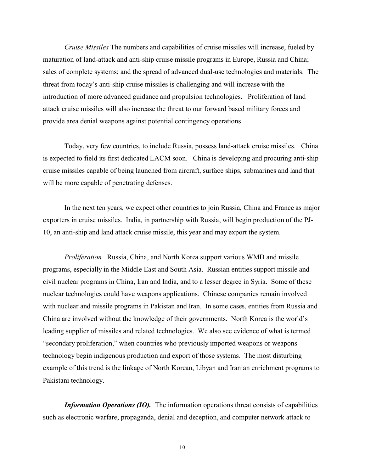*Cruise Missiles* The numbers and capabilities of cruise missiles will increase, fueled by maturation of land-attack and anti-ship cruise missile programs in Europe, Russia and China; sales of complete systems; and the spread of advanced dual-use technologies and materials. The threat from today's anti-ship cruise missiles is challenging and will increase with the introduction of more advanced guidance and propulsion technologies. Proliferation of land attack cruise missiles will also increase the threat to our forward based military forces and provide area denial weapons against potential contingency operations.

Today, very few countries, to include Russia, possess land-attack cruise missiles. China is expected to field its first dedicated LACM soon. China is developing and procuring anti-ship cruise missiles capable of being launched from aircraft, surface ships, submarines and land that will be more capable of penetrating defenses.

In the next ten years, we expect other countries to join Russia, China and France as major exporters in cruise missiles. India, in partnership with Russia, will begin production of the PJ-10, an anti-ship and land attack cruise missile, this year and may export the system.

*Proliferation* Russia, China, and North Korea support various WMD and missile programs, especially in the Middle East and South Asia. Russian entities support missile and civil nuclear programs in China, Iran and India, and to a lesser degree in Syria. Some of these nuclear technologies could have weapons applications. Chinese companies remain involved with nuclear and missile programs in Pakistan and Iran. In some cases, entities from Russia and China are involved without the knowledge of their governments. North Korea is the world's leading supplier of missiles and related technologies. We also see evidence of what is termed "secondary proliferation," when countries who previously imported weapons or weapons technology begin indigenous production and export of those systems. The most disturbing example of this trend is the linkage of North Korean, Libyan and Iranian enrichment programs to Pakistani technology.

*Information Operations (IO).* The information operations threat consists of capabilities such as electronic warfare, propaganda, denial and deception, and computer network attack to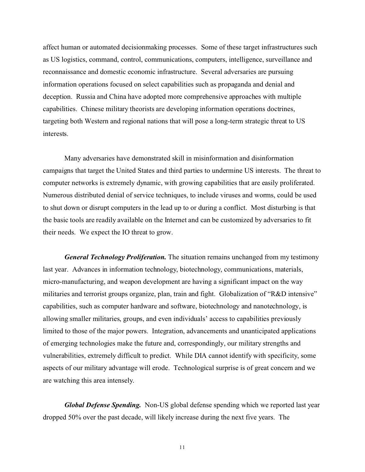affect human or automated decisionmaking processes. Some of these target infrastructures such as US logistics, command, control, communications, computers, intelligence, surveillance and reconnaissance and domestic economic infrastructure. Several adversaries are pursuing information operations focused on select capabilities such as propaganda and denial and deception. Russia and China have adopted more comprehensive approaches with multiple capabilities. Chinese military theorists are developing information operations doctrines, targeting both Western and regional nations that will pose a long-term strategic threat to US interests.

Many adversaries have demonstrated skill in misinformation and disinformation campaigns that target the United States and third parties to undermine US interests. The threat to computer networks is extremely dynamic, with growing capabilities that are easily proliferated. Numerous distributed denial of service techniques, to include viruses and worms, could be used to shut down or disrupt computers in the lead up to or during a conflict. Most disturbing is that the basic tools are readily available on the Internet and can be customized by adversaries to fit their needs. We expect the IO threat to grow.

*General Technology Proliferation.* The situation remains unchanged from my testimony last year. Advances in information technology, biotechnology, communications, materials, micro-manufacturing, and weapon development are having a significant impact on the way militaries and terrorist groups organize, plan, train and fight. Globalization of "R&D intensive" capabilities, such as computer hardware and software, biotechnology and nanotechnology, is allowing smaller militaries, groups, and even individuals' access to capabilities previously limited to those of the major powers. Integration, advancements and unanticipated applications of emerging technologies make the future and, correspondingly, our military strengths and vulnerabilities, extremely difficult to predict. While DIA cannot identify with specificity, some aspects of our military advantage will erode. Technological surprise is of great concern and we are watching this area intensely.

*Global Defense Spending.* Non-US global defense spending which we reported last year dropped 50% over the past decade, will likely increase during the next five years. The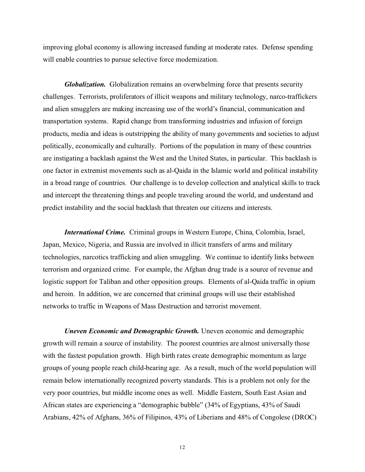improving global economy is allowing increased funding at moderate rates. Defense spending will enable countries to pursue selective force modernization.

*Globalization.* Globalization remains an overwhelming force that presents security challenges. Terrorists, proliferators of illicit weapons and military technology, narco-traffickers and alien smugglers are making increasing use of the world's financial, communication and transportation systems. Rapid change from transforming industries and infusion of foreign products, media and ideas is outstripping the ability of many governments and societies to adjust politically, economically and culturally. Portions of the population in many of these countries are instigating a backlash against the West and the United States, in particular. This backlash is one factor in extremist movements such as al-Qaida in the Islamic world and political instability in a broad range of countries. Our challenge is to develop collection and analytical skills to track and intercept the threatening things and people traveling around the world, and understand and predict instability and the social backlash that threaten our citizens and interests.

*International Crime.* Criminal groups in Western Europe, China, Colombia, Israel, Japan, Mexico, Nigeria, and Russia are involved in illicit transfers of arms and military technologies, narcotics trafficking and alien smuggling. We continue to identify links between terrorism and organized crime. For example, the Afghan drug trade is a source of revenue and logistic support for Taliban and other opposition groups. Elements of al-Qaida traffic in opium and heroin. In addition, we are concerned that criminal groups will use their established networks to traffic in Weapons of Mass Destruction and terrorist movement.

*Uneven Economic and Demographic Growth.* Uneven economic and demographic growth will remain a source of instability. The poorest countries are almost universally those with the fastest population growth. High birth rates create demographic momentum as large groups of young people reach child-bearing age. As a result, much of the world population will remain below internationally recognized poverty standards. This is a problem not only for the very poor countries, but middle income ones as well. Middle Eastern, South East Asian and African states are experiencing a "demographic bubble" (34% of Egyptians, 43% of Saudi Arabians, 42% of Afghans, 36% of Filipinos, 43% of Liberians and 48% of Congolese (DROC)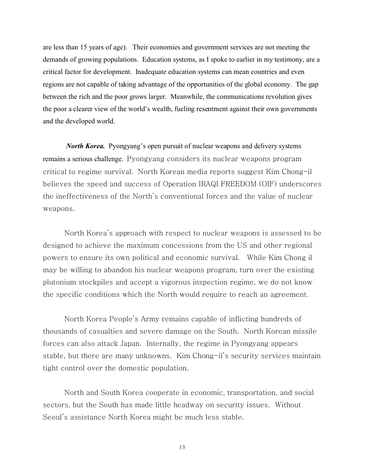are less than 15 years of age). Their economies and government services are not meeting the demands of growing populations. Education systems, as I spoke to earlier in my testimony, are a critical factor for development. Inadequate education systems can mean countries and even regions are not capable of taking advantage of the opportunities of the global economy. The gap between the rich and the poor grows larger. Meanwhile, the communications revolution gives the poor a clearer view of the world's wealth, fueling resentment against their own governments and the developed world.

*North Korea.* Pyongyang's open pursuit of nuclear weapons and delivery systems remains a serious challenge. Pyongyang considers its nuclear weapons program critical to regime survival. North Korean media reports suggest Kim Chong-il believes the speed and success of Operation IRAQI FREEDOM (OIF) underscores the ineffectiveness of the North's conventional forces and the value of nuclear weapons.

North Korea's approach with respect to nuclear weapons is assessed to be designed to achieve the maximum concessions from the US and other regional powers to ensure its own political and economic survival. While Kim Chong il may be willing to abandon his nuclear weapons program, turn over the existing plutonium stockpiles and accept a vigorous inspection regime, we do not know the specific conditions which the North would require to reach an agreement.

North Korea People's Army remains capable of inflicting hundreds of thousands of casualties and severe damage on the South. North Korean missile forces can also attack Japan. Internally, the regime in Pyongyang appears stable, but there are many unknowns. Kim Chong-il's security services maintain tight control over the domestic population.

North and South Korea cooperate in economic, transportation, and social sectors, but the South has made little headway on security issues. Without Seoul's assistance North Korea might be much less stable.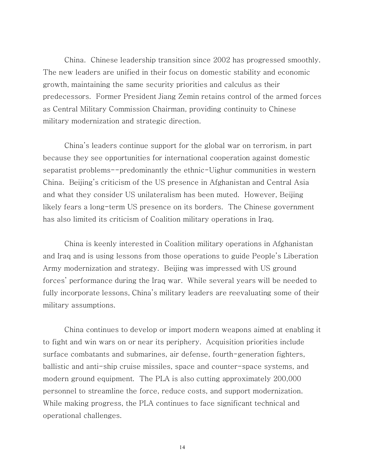*China.* Chinese leadership transition since 2002 has progressed smoothly. The new leaders are unified in their focus on domestic stability and economic growth, maintaining the same security priorities and calculus as their predecessors. Former President Jiang Zemin retains control of the armed forces as Central Military Commission Chairman, providing continuity to Chinese military modernization and strategic direction.

China's leaders continue support for the global war on terrorism, in part because they see opportunities for international cooperation against domestic separatist problems--predominantly the ethnic-Uighur communities in western China. Beijing's criticism of the US presence in Afghanistan and Central Asia and what they consider US unilateralism has been muted. However, Beijing likely fears a long-term US presence on its borders. The Chinese government has also limited its criticism of Coalition military operations in Iraq.

China is keenly interested in Coalition military operations in Afghanistan and Iraq and is using lessons from those operations to guide People's Liberation Army modernization and strategy. Beijing was impressed with US ground forces' performance during the Iraq war. While several years will be needed to fully incorporate lessons, China's military leaders are reevaluating some of their military assumptions.

China continues to develop or import modern weapons aimed at enabling it to fight and win wars on or near its periphery. Acquisition priorities include surface combatants and submarines, air defense, fourth-generation fighters, ballistic and anti-ship cruise missiles, space and counter-space systems, and modern ground equipment. The PLA is also cutting approximately 200,000 personnel to streamline the force, reduce costs, and support modernization. While making progress, the PLA continues to face significant technical and operational challenges.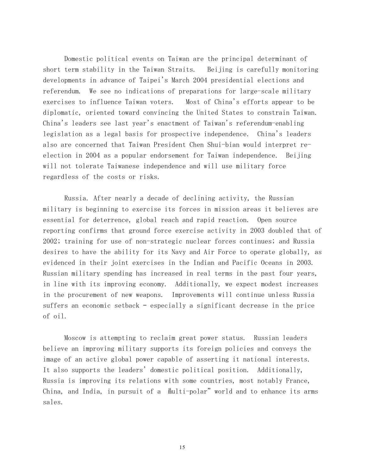Domestic political events on Taiwan are the principal determinant of short term stability in the Taiwan Straits. Beijing is carefully monitoring developments in advance of Taipei's March 2004 presidential elections and referendum. We see no indications of preparations for large-scale military exercises to influence Taiwan voters. Most of China's efforts appear to be diplomatic, oriented toward convincing the United States to constrain Taiwan. China's leaders see last year's enactment of Taiwan's referendum-enabling legislation as a legal basis for prospective independence. China's leaders also are concerned that Taiwan President Chen Shui-bian would interpret reelection in 2004 as a popular endorsement for Taiwan independence. Beijing will not tolerate Taiwanese independence and will use military force regardless of the costs or risks.

*Russia.* After nearly a decade of declining activity, the Russian military is beginning to exercise its forces in mission areas it believes are essential for deterrence, global reach and rapid reaction. Open source reporting confirms that ground force exercise activity in 2003 doubled that of 2002; training for use of non-strategic nuclear forces continues; and Russia desires to have the ability for its Navy and Air Force to operate globally, as evidenced in their joint exercises in the Indian and Pacific Oceans in 2003. Russian military spending has increased in real terms in the past four years, in line with its improving economy. Additionally, we expect modest increases in the procurement of new weapons. Improvements will continue unless Russia suffers an economic setback – especially a significant decrease in the price of oil.

Moscow is attempting to reclaim great power status. Russian leaders believe an improving military supports its foreign policies and conveys the image of an active global power capable of asserting it national interests. It also supports the leaders' domestic political position. Additionally, Russia is improving its relations with some countries, most notably France, China, and India, in pursuit of a "multi-polar" world and to enhance its arms sales.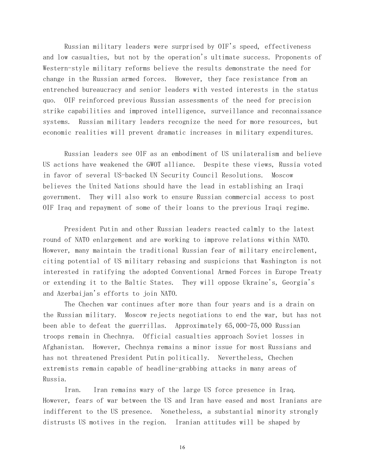Russian military leaders were surprised by OIF's speed, effectiveness and low casualties, but not by the operation's ultimate success. Proponents of Western-style military reforms believe the results demonstrate the need for change in the Russian armed forces. However, they face resistance from an entrenched bureaucracy and senior leaders with vested interests in the status quo. OIF reinforced previous Russian assessments of the need for precision strike capabilities and improved intelligence, surveillance and reconnaissance systems. Russian military leaders recognize the need for more resources, but economic realities will prevent dramatic increases in military expenditures.

Russian leaders see OIF as an embodiment of US unilateralism and believe US actions have weakened the GWOT alliance. Despite these views, Russia voted in favor of several US-backed UN Security Council Resolutions. Moscow believes the United Nations should have the lead in establishing an Iraqi government. They will also work to ensure Russian commercial access to post OIF Iraq and repayment of some of their loans to the previous Iraqi regime.

President Putin and other Russian leaders reacted calmly to the latest round of NATO enlargement and are working to improve relations within NATO. However, many maintain the traditional Russian fear of military encirclement, citing potential of US military rebasing and suspicions that Washington is not interested in ratifying the adopted Conventional Armed Forces in Europe Treaty or extending it to the Baltic States. They will oppose Ukraine's, Georgia's and Azerbaijan's efforts to join NATO.

The Chechen war continues after more than four years and is a drain on the Russian military. Moscow rejects negotiations to end the war, but has not been able to defeat the guerrillas. Approximately 65,000-75,000 Russian troops remain in Chechnya. Official casualties approach Soviet losses in Afghanistan. However, Chechnya remains a minor issue for most Russians and has not threatened President Putin politically. Nevertheless, Chechen extremists remain capable of headline-grabbing attacks in many areas of Russia.

Iran. Iran remains wary of the large US force presence in Iraq. However, fears of war between the US and Iran have eased and most Iranians are indifferent to the US presence. Nonetheless, a substantial minority strongly distrusts US motives in the region. Iranian attitudes will be shaped by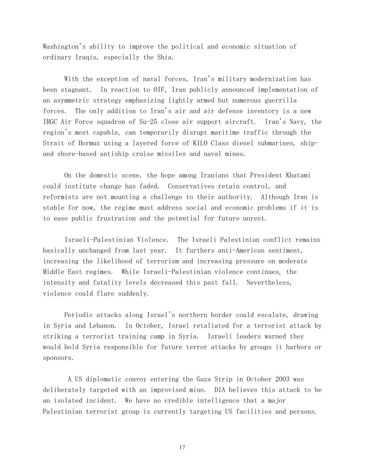Washington's ability to improve the political and economic situation of ordinary Iraqis, especially the Shia.

With the exception of naval forces, Iran's military modernization has been stagnant. In reaction to OIF, Iran publicly announced implementation of an asymmetric strategy emphasizing lightly armed but numerous guerrilla forces. The only addition to Iran's air and air defense inventory is a new IRGC Air Force squadron of Su-25 close air support aircraft. Iran's Navy, the region's most capable, can temporarily disrupt maritime traffic through the Strait of Hormuz using a layered force of KILO Class diesel submarines, shipand shore-based antiship cruise missiles and naval mines.

On the domestic scene, the hope among Iranians that President Khatami could institute change has faded. Conservatives retain control, and reformists are not mounting a challenge to their authority. Although Iran is stable for now, the regime must address social and economic problems if it is to ease public frustration and the potential for future unrest.

Israeli-Palestinian Violence. The Israeli Palestinian conflict remains basically unchanged from last year. It furthers anti-American sentiment, increasing the likelihood of terrorism and increasing pressure on moderate Middle East regimes. While Israeli-Palestinian violence continues, the intensity and fatality levels decreased this past fall. Nevertheless, violence could flare suddenly.

Periodic attacks along Israel's northern border could escalate, drawing in Syria and Lebanon. In October, Israel retaliated for a terrorist attack by striking a terrorist training camp in Syria. Israeli leaders warned they would hold Syria responsible for future terror attacks by groups it harbors or sponsors.

 A US diplomatic convoy entering the Gaza Strip in October 2003 was deliberately targeted with an improvised mine. DIA believes this attack to be an isolated incident. We have no credible intelligence that a major Palestinian terrorist group is currently targeting US facilities and persons.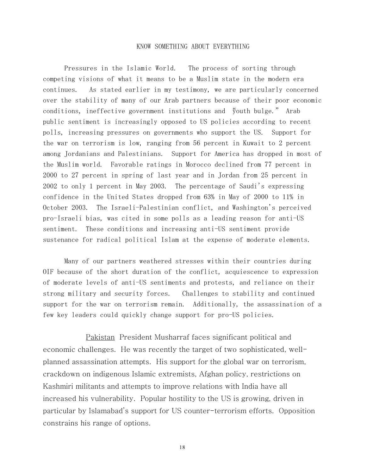#### KNOW SOMETHING ABOUT EVERYTHING

*Pressures in the Islamic World.* The process of sorting through competing visions of what it means to be a Muslim state in the modern era continues. As stated earlier in my testimony, we are particularly concerned over the stability of many of our Arab partners because of their poor economic conditions, ineffective government institutions and youth bulge." Arab public sentiment is increasingly opposed to US policies according to recent polls, increasing pressures on governments who support the US. Support for the war on terrorism is low, ranging from 56 percent in Kuwait to 2 percent among Jordanians and Palestinians. Support for America has dropped in most of the Muslim world. Favorable ratings in Morocco declined from 77 percent in 2000 to 27 percent in spring of last year and in Jordan from 25 percent in 2002 to only 1 percent in May 2003. The percentage of Saudi's expressing confidence in the United States dropped from 63% in May of 2000 to 11% in October 2003. The Israeli-Palestinian conflict, and Washington's perceived pro-Israeli bias, was cited in some polls as a leading reason for anti-US sentiment. These conditions and increasing anti-US sentiment provide sustenance for radical political Islam at the expense of moderate elements.

Many of our partners weathered stresses within their countries during OIF because of the short duration of the conflict, acquiescence to expression of moderate levels of anti-US sentiments and protests, and reliance on their strong military and security forces. Challenges to stability and continued support for the war on terrorism remain. Additionally, the assassination of a few key leaders could quickly change support for pro-US policies.

 *Pakistan* President Musharraf faces significant political and economic challenges. He was recently the target of two sophisticated, wellplanned assassination attempts. His support for the global war on terrorism, crackdown on indigenous Islamic extremists, Afghan policy, restrictions on Kashmiri militants and attempts to improve relations with India have all increased his vulnerability. Popular hostility to the US is growing, driven in particular by Islamabad's support for US counter-terrorism efforts. Opposition constrains his range of options.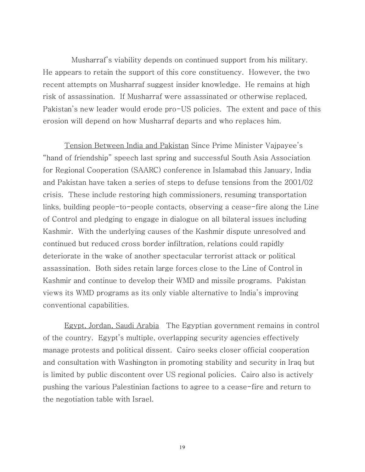Musharraf's viability depends on continued support from his military. He appears to retain the support of this core constituency. However, the two recent attempts on Musharraf suggest insider knowledge. He remains at high risk of assassination. If Musharraf were assassinated or otherwise replaced, Pakistan's new leader would erode pro-US policies. The extent and pace of this erosion will depend on how Musharraf departs and who replaces him.

*Tension Between India and Pakistan* Since Prime Minister Vajpayee's "hand of friendship" speech last spring and successful South Asia Association for Regional Cooperation (SAARC) conference in Islamabad this January, India and Pakistan have taken a series of steps to defuse tensions from the 2001/02 crisis. These include restoring high commissioners, resuming transportation links, building people-to-people contacts, observing a cease-fire along the Line of Control and pledging to engage in dialogue on all bilateral issues including Kashmir. With the underlying causes of the Kashmir dispute unresolved and continued but reduced cross border infiltration, relations could rapidly deteriorate in the wake of another spectacular terrorist attack or political assassination. Both sides retain large forces close to the Line of Control in Kashmir and continue to develop their WMD and missile programs. Pakistan views its WMD programs as its only viable alternative to India's improving conventional capabilities.

*Egypt, Jordan, Saudi Arabia* The Egyptian government remains in control of the country. Egypt's multiple, overlapping security agencies effectively manage protests and political dissent. Cairo seeks closer official cooperation and consultation with Washington in promoting stability and security in Iraq but is limited by public discontent over US regional policies. Cairo also is actively pushing the various Palestinian factions to agree to a cease-fire and return to the negotiation table with Israel.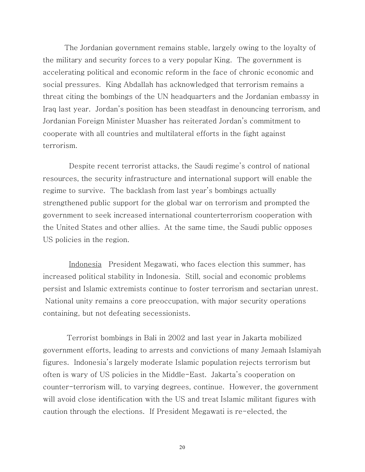The Jordanian government remains stable, largely owing to the loyalty of the military and security forces to a very popular King. The government is accelerating political and economic reform in the face of chronic economic and social pressures. King Abdallah has acknowledged that terrorism remains a threat citing the bombings of the UN headquarters and the Jordanian embassy in Iraq last year. Jordan's position has been steadfast in denouncing terrorism, and Jordanian Foreign Minister Muasher has reiterated Jordan's commitment to cooperate with all countries and multilateral efforts in the fight against terrorism.

 Despite recent terrorist attacks, the Saudi regime's control of national resources, the security infrastructure and international support will enable the regime to survive. The backlash from last year's bombings actually strengthened public support for the global war on terrorism and prompted the government to seek increased international counterterrorism cooperation with the United States and other allies. At the same time, the Saudi public opposes US policies in the region.

 *Indonesia* President Megawati, who faces election this summer, has increased political stability in Indonesia. Still, social and economic problems persist and Islamic extremists continue to foster terrorism and sectarian unrest. National unity remains a core preoccupation, with major security operations containing, but not defeating secessionists.

 Terrorist bombings in Bali in 2002 and last year in Jakarta mobilized government efforts, leading to arrests and convictions of many Jemaah Islamiyah figures. Indonesia's largely moderate Islamic population rejects terrorism but often is wary of US policies in the Middle-East. Jakarta's cooperation on counter-terrorism will, to varying degrees, continue. However, the government will avoid close identification with the US and treat Islamic militant figures with caution through the elections. If President Megawati is re-elected, the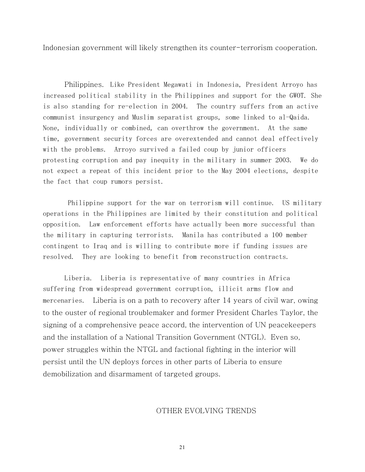Indonesian government will likely strengthen its counter-terrorism cooperation.

*Philippines.* Like President Megawati in Indonesia, President Arroyo has increased political stability in the Philippines and support for the GWOT. She is also standing for re-election in 2004. The country suffers from an active communist insurgency and Muslim separatist groups, some linked to al-Qaida. None, individually or combined, can overthrow the government. At the same time, government security forces are overextended and cannot deal effectively with the problems. Arroyo survived a failed coup by junior officers protesting corruption and pay inequity in the military in summer 2003. We do not expect a repeat of this incident prior to the May 2004 elections, despite the fact that coup rumors persist.

 Philippine support for the war on terrorism will continue. US military operations in the Philippines are limited by their constitution and political opposition. Law enforcement efforts have actually been more successful than the military in capturing terrorists. Manila has contributed a 100 member contingent to Iraq and is willing to contribute more if funding issues are resolved. They are looking to benefit from reconstruction contracts.

*Liberia.* Liberia is representative of many countries in Africa suffering from widespread government corruption, illicit arms flow and mercenaries. Liberia is on a path to recovery after 14 years of civil war, owing to the ouster of regional troublemaker and former President Charles Taylor, the signing of a comprehensive peace accord, the intervention of UN peacekeepers and the installation of a National Transition Government (NTGL). Even so, power struggles within the NTGL and factional fighting in the interior will persist until the UN deploys forces in other parts of Liberia to ensure demobilization and disarmament of targeted groups.

## OTHER EVOLVING TRENDS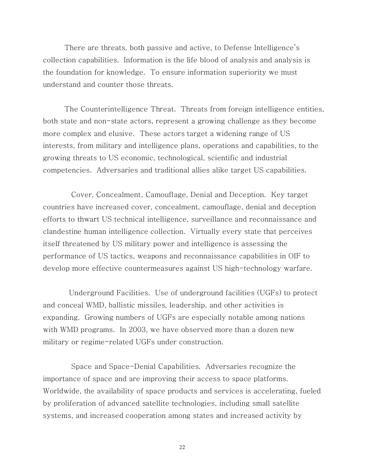There are threats, both passive and active, to Defense Intelligence's collection capabilities. Information is the life blood of analysis and analysis is the foundation for knowledge. To ensure information superiority we must understand and counter those threats.

*The Counterintelligence Threat.* Threats from foreign intelligence entities, both state and non-state actors, represent a growing challenge as they become more complex and elusive. These actors target a widening range of US interests, from military and intelligence plans, operations and capabilities, to the growing threats to US economic, technological, scientific and industrial competencies. Adversaries and traditional allies alike target US capabilities.

 *Cover, Concealment, Camouflage, Denial and Deception.* Key target countries have increased cover, concealment, camouflage, denial and deception efforts to thwart US technical intelligence, surveillance and reconnaissance and clandestine human intelligence collection. Virtually every state that perceives itself threatened by US military power and intelligence is assessing the performance of US tactics, weapons and reconnaissance capabilities in OIF to develop more effective countermeasures against US high-technology warfare.

 *Underground Facilities.* Use of underground facilities (UGFs) to protect and conceal WMD, ballistic missiles, leadership, and other activities is expanding. Growing numbers of UGFs are especially notable among nations with WMD programs. In 2003, we have observed more than a dozen new military or regime-related UGFs under construction.

 *Space and Space-Denial Capabilities.* Adversaries recognize the importance of space and are improving their access to space platforms. Worldwide, the availability of space products and services is accelerating, fueled by proliferation of advanced satellite technologies, including small satellite systems, and increased cooperation among states and increased activity by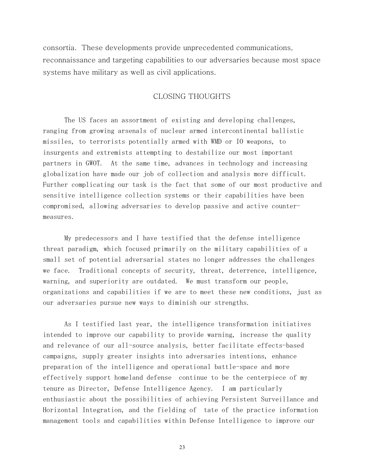consortia. These developments provide unprecedented communications, reconnaissance and targeting capabilities to our adversaries because most space systems have military as well as civil applications.

### CLOSING THOUGHTS

The US faces an assortment of existing and developing challenges, ranging from growing arsenals of nuclear armed intercontinental ballistic missiles, to terrorists potentially armed with WMD or IO weapons, to insurgents and extremists attempting to destabilize our most important partners in GWOT. At the same time, advances in technology and increasing globalization have made our job of collection and analysis more difficult. Further complicating our task is the fact that some of our most productive and sensitive intelligence collection systems or their capabilities have been compromised, allowing adversaries to develop passive and active countermeasures.

My predecessors and I have testified that the defense intelligence threat paradigm, which focused primarily on the military capabilities of a small set of potential adversarial states no longer addresses the challenges we face. Traditional concepts of security, threat, deterrence, intelligence, warning, and superiority are outdated. We must transform our people, organizations and capabilities if we are to meet these new conditions, just as our adversaries pursue new ways to diminish our strengths.

As I testified last year, the intelligence transformation initiatives intended to improve our capability to provide warning, increase the quality and relevance of our all-source analysis, better facilitate effects-based campaigns, supply greater insights into adversaries intentions, enhance preparation of the intelligence and operational battle-space and more effectively support homeland defense continue to be the centerpiece of my tenure as Director, Defense Intelligence Agency. I am particularly enthusiastic about the possibilities of achieving Persistent Surveillance and Horizontal Integration, and the fielding of tate of the practice information management tools and capabilities within Defense Intelligence to improve our